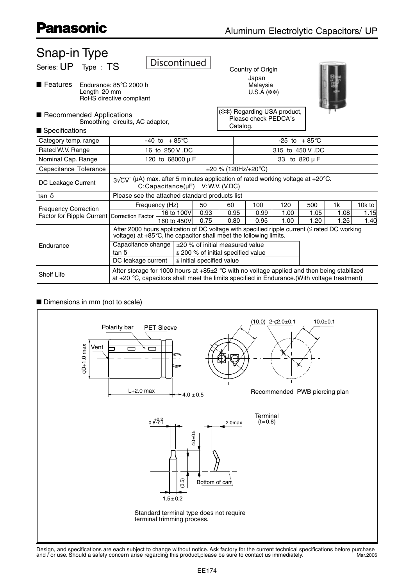| Snap-in Type                                                               |                                                                                                                                                                                               |                                       |                               |                                                                   |                   |                 |               |                |        |
|----------------------------------------------------------------------------|-----------------------------------------------------------------------------------------------------------------------------------------------------------------------------------------------|---------------------------------------|-------------------------------|-------------------------------------------------------------------|-------------------|-----------------|---------------|----------------|--------|
| Series: UP Type : TS                                                       |                                                                                                                                                                                               | <b>Discontinued</b>                   |                               |                                                                   | Country of Origin |                 |               |                |        |
| ■ Features<br>Length 20 mm                                                 | Endurance: 85°C 2000 h<br>RoHS directive compliant                                                                                                                                            |                                       |                               | Japan<br>Malaysia<br>$U.S.A$ (**)                                 |                   |                 |               |                |        |
| Recommended Applications                                                   | Smoothing circuits, AC adaptor,                                                                                                                                                               |                                       |                               | ( ** ) Regarding USA product,<br>Please check PEDCA's<br>Catalog. |                   |                 |               |                |        |
| Specifications                                                             |                                                                                                                                                                                               |                                       |                               |                                                                   |                   |                 |               |                |        |
| Category temp. range                                                       |                                                                                                                                                                                               | $-40$ to $+85^{\circ}$ C              |                               | $-25$ to $+85^{\circ}$ C                                          |                   |                 |               |                |        |
| Rated W.V. Range                                                           |                                                                                                                                                                                               | 16 to 250 V.DC                        |                               |                                                                   |                   | 315 to 450 V.DC |               |                |        |
| Nominal Cap. Range                                                         |                                                                                                                                                                                               | 120 to 68000 µ F                      |                               |                                                                   |                   |                 | 33 to 820 µ F |                |        |
| Capacitance Tolerance                                                      |                                                                                                                                                                                               |                                       |                               | $\pm 20$ % (120Hz/+20°C)                                          |                   |                 |               |                |        |
| DC Leakage Current                                                         | $3\sqrt{CV}$ (µA) max. after 5 minutes application of rated working voltage at +20°C.                                                                                                         | $C:Capacitance(\mu F)$ V: W.V. (V.DC) |                               |                                                                   |                   |                 |               |                |        |
| $tan \delta$                                                               | Please see the attached standard products list                                                                                                                                                |                                       |                               |                                                                   |                   |                 |               |                |        |
|                                                                            |                                                                                                                                                                                               | Frequency (Hz)                        | 50                            | 60                                                                | 100               | 120             | 500           | 1 <sub>k</sub> | 10k to |
| <b>Frequency Correction</b><br>Factor for Ripple Current Correction Factor |                                                                                                                                                                                               | 16 to 100V                            | 0.93                          | 0.95                                                              | 0.99              | 1.00            | 1.05          | 1.08           | 1.15   |
|                                                                            |                                                                                                                                                                                               | 160 to 450V                           | 0.75                          | 0.80                                                              | 0.95              | 1.00            | 1.20          | 1.25           | 1.40   |
|                                                                            | After 2000 hours application of DC voltage with specified ripple current ( $\leq$ rated DC working<br>voltage) at $+85^{\circ}$ C, the capacitor shall meet the following limits.             |                                       |                               |                                                                   |                   |                 |               |                |        |
| Endurance                                                                  | Capacitance change                                                                                                                                                                            |                                       |                               | ±20 % of initial measured value                                   |                   |                 |               |                |        |
|                                                                            | tan $\delta$                                                                                                                                                                                  |                                       |                               | $\leq$ 200 % of initial specified value                           |                   |                 |               |                |        |
|                                                                            | DC leakage current                                                                                                                                                                            |                                       | $\le$ initial specified value |                                                                   |                   |                 |               |                |        |
| <b>Shelf Life</b>                                                          | After storage for 1000 hours at $+85\pm2$ °C with no voltage applied and then being stabilized<br>at +20 °C, capacitors shall meet the limits specified in Endurance.(With voltage treatment) |                                       |                               |                                                                   |                   |                 |               |                |        |

#### Dimensions in mm (not to scale)

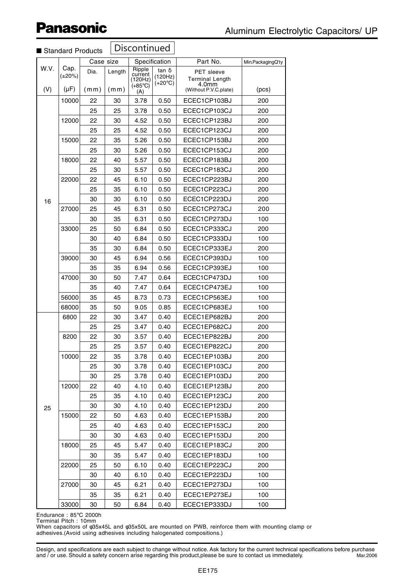| Standard Products |                                   |              |                | Discontinued                                            |                                             |                                                                        |                   |
|-------------------|-----------------------------------|--------------|----------------|---------------------------------------------------------|---------------------------------------------|------------------------------------------------------------------------|-------------------|
|                   |                                   | Case size    |                |                                                         | Specification                               | Part No.                                                               | Min.PackagingQ'ty |
| W.V.<br>(V)       | Cap.<br>$(\pm 20\%)$<br>$(\mu F)$ | Dia.<br>(mm) | Length<br>(mm) | Ripple<br>current<br>(120Hz)<br>$(+85^{\circ}C)$<br>(A) | tan $\delta$<br>(120Hz)<br>$(+20^{\circ}C)$ | PET sleeve<br><b>Terminal Length</b><br>4.0mm<br>(Without P.V.C.plate) | (pcs)             |
|                   | 10000                             | 22           | 30             | 3.78                                                    | 0.50                                        | ECEC1CP103BJ                                                           | 200               |
|                   |                                   | 25           | 25             | 3.78                                                    | 0.50                                        | ECEC1CP103CJ                                                           | 200               |
|                   | 12000                             | 22           | 30             | 4.52                                                    | 0.50                                        | ECEC1CP123BJ                                                           | 200               |
|                   |                                   | 25           | 25             | 4.52                                                    | 0.50                                        | ECEC1CP123CJ                                                           | 200               |
|                   | 15000                             | 22           | 35             | 5.26                                                    | 0.50                                        | ECEC1CP153BJ                                                           | 200               |
|                   |                                   | 25           | 30             | 5.26                                                    | 0.50                                        | ECEC1CP153CJ                                                           | 200               |
|                   | 18000                             | 22           | 40             | 5.57                                                    | 0.50                                        | ECEC1CP183BJ                                                           | 200               |
|                   |                                   | 25           | 30             | 5.57                                                    | 0.50                                        | ECEC1CP183CJ                                                           | 200               |
|                   | 22000                             | 22           | 45             | 6.10                                                    | 0.50                                        | ECEC1CP223BJ                                                           | 200               |
|                   |                                   | 25           | 35             | 6.10                                                    | 0.50                                        | ECEC1CP223CJ                                                           | 200               |
| 16                |                                   | 30           | 30             | 6.10                                                    | 0.50                                        | ECEC1CP223DJ                                                           | 200               |
|                   | 27000                             | 25           | 45             | 6.31                                                    | 0.50                                        | ECEC1CP273CJ                                                           | 200               |
|                   |                                   | 30           | 35             | 6.31                                                    | 0.50                                        | ECEC1CP273DJ                                                           | 100               |
|                   | 33000                             | 25           | 50             | 6.84                                                    | 0.50                                        | ECEC1CP333CJ                                                           | 200               |
|                   |                                   | 30           | 40             | 6.84                                                    | 0.50                                        | ECEC1CP333DJ                                                           | 100               |
|                   |                                   | 35           | 30             | 6.84                                                    | 0.50                                        | ECEC1CP333EJ                                                           | 200               |
|                   | 39000                             | 30           | 45             | 6.94                                                    | 0.56                                        | ECEC1CP393DJ                                                           | 100               |
|                   |                                   | 35           | 35             | 6.94                                                    | 0.56                                        | ECEC1CP393EJ                                                           | 100               |
|                   | 47000                             | 30           | 50             | 7.47                                                    | 0.64                                        | ECEC1CP473DJ                                                           | 100               |
|                   |                                   | 35           | 40             | 7.47                                                    | 0.64                                        | ECEC1CP473EJ                                                           | 100               |
|                   | 56000                             | 35           | 45             | 8.73                                                    | 0.73                                        | ECEC1CP563EJ                                                           | 100               |
|                   | 68000                             | 35           | 50             | 9.05                                                    | 0.85                                        | ECEC1CP683EJ                                                           | 100               |
|                   | 6800                              | 22           | 30             | 3.47                                                    | 0.40                                        | ECEC1EP682BJ                                                           | 200               |
|                   |                                   | 25           | 25             | 3.47                                                    | 0.40                                        | ECEC1EP682CJ                                                           | 200               |
|                   | 8200                              | 22           | 30             | 3.57                                                    | 0.40                                        | ECEC1EP822BJ                                                           | 200               |
|                   |                                   | 25           | 25             | 3.57                                                    | 0.40                                        | ECEC1EP822CJ                                                           | 200               |
|                   | 10000                             | 22           | 35             | 3.78                                                    | 0.40                                        | ECEC1EP103BJ                                                           | 200               |
|                   |                                   | 25           | 30             | 3.78                                                    | 0.40                                        | ECEC1EP103CJ                                                           | 200               |
|                   |                                   | 30           | 25             | 3.78                                                    | 0.40                                        | ECEC1EP103DJ                                                           | 200               |
|                   | 12000                             | 22           | 40             | 4.10                                                    | 0.40                                        | ECEC1EP123BJ                                                           | 200               |
|                   |                                   | 25           | 35             | 4.10                                                    | 0.40                                        | ECEC1EP123CJ                                                           | 200               |
| 25                |                                   | 30           | 30             | 4.10                                                    | 0.40                                        | ECEC1EP123DJ                                                           | 200               |
|                   | 15000                             | 22           | 50             | 4.63                                                    | 0.40                                        | ECEC1EP153BJ                                                           | 200               |
|                   |                                   | 25           | 40             | 4.63                                                    | 0.40                                        | ECEC1EP153CJ                                                           | 200               |
|                   |                                   | 30           | 30             | 4.63                                                    | 0.40                                        | ECEC1EP153DJ                                                           | 200               |
|                   | 18000                             | 25           | 45             | 5.47                                                    | 0.40                                        | ECEC1EP183CJ                                                           | 200               |
|                   | 22000                             | 30           | 35<br>50       | 5.47                                                    | 0.40                                        | ECEC1EP183DJ                                                           | 100<br>200        |
|                   |                                   | 25<br>30     |                | 6.10                                                    | 0.40                                        | ECEC1EP223CJ                                                           | 100               |
|                   | 27000                             | 30           | 40<br>45       | 6.10<br>6.21                                            | 0.40<br>0.40                                | ECEC1EP223DJ<br>ECEC1EP273DJ                                           | 100               |
|                   |                                   | 35           | 35             | 6.21                                                    | 0.40                                        | ECEC1EP273EJ                                                           | 100               |
|                   | 33000                             | 30           | 50             | 6.84                                                    | 0.40                                        | ECEC1EP333DJ                                                           | 100               |
|                   |                                   |              |                |                                                         |                                             |                                                                        |                   |

Endurance : 85°C 2000h Terminal Pitch : 10mm

When capacitors of φ35x45L and φ35x50L are mounted on PWB, reinforce them with mounting clamp or adhesives.(Avoid using adhesives including halogenated compositions.)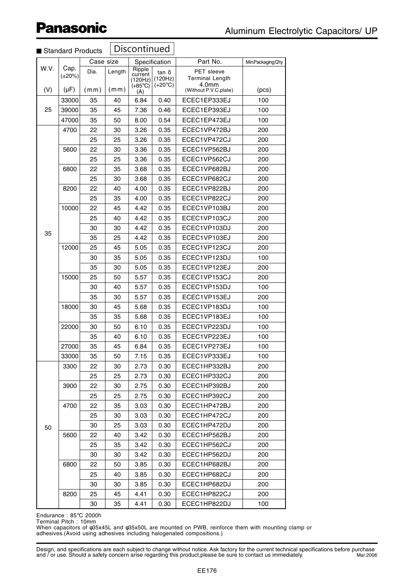| Standard Products |                                   |              |                | Discontinued                                     |                                             |                                                                                    |                    |
|-------------------|-----------------------------------|--------------|----------------|--------------------------------------------------|---------------------------------------------|------------------------------------------------------------------------------------|--------------------|
|                   |                                   | Case size    |                |                                                  | Specification                               | Part No.                                                                           | Min.Packaging Q'ty |
| W.V.<br>(V)       | Cap.<br>$(\pm 20\%)$<br>$(\mu F)$ | Dia.<br>(mm) | Length<br>(mm) | Ripple<br>current<br>(120Hz)<br>$(+85^{\circ}C)$ | $tan \delta$<br>(120Hz)<br>$(+20^{\circ}C)$ | PET sleeve<br><b>Terminal Length</b><br>4.0 <sub>mm</sub><br>(Without P.V.C.plate) | (pcs)              |
|                   | 33000                             | 35           | 40             | (A)<br>6.84                                      | 0.40                                        | ECEC1EP333EJ                                                                       | 100                |
| 25                | 39000                             | 35           | 45             | 7.36                                             | 0.46                                        | ECEC1EP393EJ                                                                       | 100                |
|                   | 47000                             | 35           | 50             | 8.00                                             | 0.54                                        | ECEC1EP473EJ                                                                       | 100                |
|                   | 4700                              | 22           | 30             | 3.26                                             | 0.35                                        | ECEC1VP472BJ                                                                       | 200                |
|                   |                                   | 25           | 25             | 3.26                                             | 0.35                                        | ECEC1VP472CJ                                                                       | 200                |
|                   | 5600                              | 22           | 30             | 3.36                                             | 0.35                                        | ECEC1VP562BJ                                                                       | 200                |
|                   |                                   | 25           | 25             | 3.36                                             | 0.35                                        | ECEC1VP562CJ                                                                       | 200                |
|                   | 6800                              | 22           | 35             | 3.68                                             | 0.35                                        | ECEC1VP682BJ                                                                       | 200                |
|                   |                                   | 25           | 30             | 3.68                                             | 0.35                                        | ECEC1VP682CJ                                                                       | 200                |
|                   | 8200                              | 22           | 40             | 4.00                                             | 0.35                                        | ECEC1VP822BJ                                                                       | 200                |
|                   |                                   | 25           | 35             | 4.00                                             | 0.35                                        | ECEC1VP822CJ                                                                       | 200                |
|                   | 10000                             | 22           | 45             | 4.42                                             | 0.35                                        | ECEC1VP103BJ                                                                       | 200                |
|                   |                                   | 25           | 40             | 4.42                                             | 0.35                                        | ECEC1VP103CJ                                                                       | 200                |
|                   |                                   | 30           | 30             | 4.42                                             | 0.35                                        | ECEC1VP103DJ                                                                       | 200                |
| 35                |                                   | 35           | 25             | 4.42                                             | 0.35                                        | ECEC1VP103EJ                                                                       | 200                |
|                   | 12000                             | 25           | 45             | 5.05                                             | 0.35                                        | ECEC1VP123CJ                                                                       | 200                |
|                   |                                   | 30           | 35             | 5.05                                             | 0.35                                        | ECEC1VP123DJ                                                                       | 100                |
|                   |                                   | 35           | 30             | 5.05                                             | 0.35                                        | ECEC1VP123EJ                                                                       | 200                |
|                   | 15000                             | 25           | 50             | 5.57                                             | 0.35                                        | ECEC1VP153CJ                                                                       | 200                |
|                   |                                   | 30           | 40             | 5.57                                             | 0.35                                        | ECEC1VP153DJ                                                                       | 100                |
|                   |                                   | 35           | 30             | 5.57                                             | 0.35                                        | ECEC1VP153EJ                                                                       | 200                |
|                   | 18000                             | 30           | 45             | 5.68                                             | 0.35                                        | ECEC1VP183DJ                                                                       | 100                |
|                   |                                   | 35           | 35             | 5.68                                             | 0.35                                        | ECEC1VP183EJ                                                                       | 100                |
|                   | 22000                             | 30           | 50             | 6.10                                             | 0.35                                        | ECEC1VP223DJ                                                                       | 100                |
|                   |                                   | 35           | 40             | 6.10                                             | 0.35                                        | ECEC1VP223EJ                                                                       | 100                |
|                   | 27000                             | 35           | 45             | 6.84                                             | 0.35                                        | ECEC1VP273EJ                                                                       | 100                |
|                   | 33000                             | 35           | 50             | 7.15                                             | 0.35                                        | ECEC1VP333EJ                                                                       | 100                |
|                   | 3300                              | 22           | 30             | 2.73                                             | 0.30                                        | ECEC1HP332BJ                                                                       | 200                |
|                   |                                   | 25           | 25             | 2.73                                             | 0.30                                        | ECEC1HP332CJ                                                                       | 200                |
|                   | 3900                              | 22           | 30             | 2.75                                             | 0.30                                        | ECEC1HP392BJ                                                                       | 200                |
|                   |                                   | 25           | 25             | 2.75                                             | 0.30                                        | ECEC1HP392CJ                                                                       | 200                |
|                   | 4700                              | 22           | 35             | 3.03                                             | 0.30                                        | ECEC1HP472BJ                                                                       | 200                |
|                   |                                   | 25           | 30             | 3.03                                             | 0.30                                        | ECEC1HP472CJ                                                                       | 200                |
| 50                |                                   | 30           | 25             | 3.03                                             | 0.30                                        | ECEC1HP472DJ                                                                       | 200                |
|                   | 5600                              | 22           | 40             | 3.42                                             | 0.30                                        | ECEC1HP562BJ                                                                       | 200                |
|                   |                                   | 25           | 35             | 3.42                                             | 0.30                                        | ECEC1HP562CJ                                                                       | 200                |
|                   |                                   | 30           | 30             | 3.42                                             | 0.30                                        | ECEC1HP562DJ                                                                       | 200                |
|                   | 6800                              | 22           | 50             | 3.85                                             | 0.30                                        | ECEC1HP682BJ                                                                       | 200                |
|                   |                                   | 25           | 40             | 3.85                                             | 0.30                                        | ECEC1HP682CJ                                                                       | 200                |
|                   |                                   | 30           | 30             | 3.85                                             | 0.30                                        | ECEC1HP682DJ                                                                       | 200                |
|                   | 8200                              | 25           | 45             | 4.41                                             | 0.30                                        | ECEC1HP822CJ                                                                       | 200                |
|                   |                                   | 30           | 35             | 4.41                                             | 0.30                                        | ECEC1HP822DJ                                                                       | 100                |

Endurance : 85°C 2000h Terminal Pitch : 10mm

When capacitors of φ35x45L and φ35x50L are mounted on PWB, reinforce them with mounting clamp or adhesives.(Avoid using adhesives including halogenated compositions.)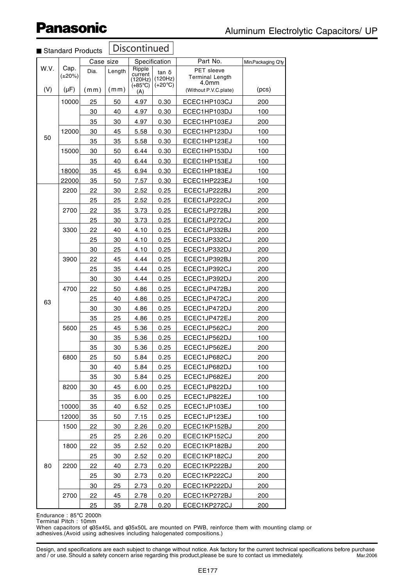|             | Standard Products                 |              |                | Discontinued                                     |                                      |                                                                               |                    |
|-------------|-----------------------------------|--------------|----------------|--------------------------------------------------|--------------------------------------|-------------------------------------------------------------------------------|--------------------|
|             |                                   | Case size    |                |                                                  | Specification                        | Part No.                                                                      | Min.Packaging Q'ty |
| W.V.<br>(V) | Cap.<br>$(\pm 20\%)$<br>$(\mu F)$ | Dia.<br>(mm) | Length<br>(mm) | Ripple<br>current<br>(120Hz)<br>$(+85^{\circ}C)$ | tan δ<br>(120Hz)<br>$(+20^{\circ}C)$ | <b>PET</b> sleeve<br><b>Terminal Length</b><br>4.0mm<br>(Without P.V.C.plate) | (pcs)              |
|             |                                   |              |                | (A)                                              |                                      |                                                                               |                    |
|             | 10000                             | 25           | 50             | 4.97                                             | 0.30                                 | ECEC1HP103CJ                                                                  | 200                |
|             |                                   | 30           | 40             | 4.97                                             | 0.30                                 | ECEC1HP103DJ                                                                  | 100                |
|             |                                   | 35           | 30             | 4.97                                             | 0.30                                 | ECEC1HP103EJ                                                                  | 200                |
| 50          | 12000                             | 30<br>35     | 45             | 5.58                                             | 0.30                                 | ECEC1HP123DJ                                                                  | 100<br>100         |
|             | 15000                             | 30           | 35<br>50       | 5.58<br>6.44                                     | 0.30                                 | ECEC1HP123EJ                                                                  | 100                |
|             |                                   | 35           | 40             | 6.44                                             | 0.30<br>0.30                         | ECEC1HP153DJ<br>ECEC1HP153EJ                                                  | 100                |
|             | 18000                             | 35           | 45             | 6.94                                             | 0.30                                 | ECEC1HP183EJ                                                                  | 100                |
|             | 22000                             | 35           | 50             | 7.57                                             | 0.30                                 | ECEC1HP223EJ                                                                  | 100                |
|             | 2200                              | 22           | 30             | 2.52                                             | 0.25                                 | ECEC1JP222BJ                                                                  | 200                |
|             |                                   | 25           | 25             | 2.52                                             | 0.25                                 | ECEC1JP222CJ                                                                  | 200                |
|             | 2700                              | 22           | 35             | 3.73                                             | 0.25                                 | ECEC1JP272BJ                                                                  | 200                |
|             |                                   | 25           | 30             | 3.73                                             | 0.25                                 | ECEC1JP272CJ                                                                  | 200                |
|             | 3300                              | 22           | 40             | 4.10                                             | 0.25                                 | ECEC1JP332BJ                                                                  | 200                |
|             |                                   | 25           | 30             | 4.10                                             | 0.25                                 | ECEC1JP332CJ                                                                  | 200                |
|             |                                   | 30           | 25             | 4.10                                             | 0.25                                 | ECEC1JP332DJ                                                                  | 200                |
|             | 3900                              | 22           | 45             | 4.44                                             | 0.25                                 | ECEC1JP392BJ                                                                  | 200                |
|             |                                   | 25           | 35             | 4.44                                             | 0.25                                 | ECEC1JP392CJ                                                                  | 200                |
|             |                                   | 30           | 30             | 4.44                                             | 0.25                                 | ECEC1JP392DJ                                                                  | 200                |
|             | 4700                              | 22           | 50             | 4.86                                             | 0.25                                 | ECEC1JP472BJ                                                                  | 200                |
|             |                                   | 25           | 40             | 4.86                                             | 0.25                                 | ECEC1JP472CJ                                                                  | 200                |
| 63          |                                   | 30           | 30             | 4.86                                             | 0.25                                 | ECEC1JP472DJ                                                                  | 200                |
|             |                                   | 35           | 25             | 4.86                                             | 0.25                                 | ECEC1JP472EJ                                                                  | 200                |
|             | 5600                              | 25           | 45             | 5.36                                             | 0.25                                 | ECEC1JP562CJ                                                                  | 200                |
|             |                                   | 30           | 35             | 5.36                                             | 0.25                                 | ECEC1JP562DJ                                                                  | 100                |
|             |                                   | 35           | 30             | 5.36                                             | 0.25                                 | ECEC1JP562EJ                                                                  | 200                |
|             | 6800                              | 25           | 50             | 5.84                                             | 0.25                                 | ECEC1JP682CJ                                                                  | 200                |
|             |                                   | 30           | 40             | 5.84                                             | 0.25                                 | ECEC1JP682DJ                                                                  | 100                |
|             |                                   | 35           | 30             | 5.84                                             | 0.25                                 | ECEC1JP682EJ                                                                  | 200                |
|             | 8200                              | 30           | 45             | 6.00                                             | 0.25                                 | ECEC1JP822DJ                                                                  | 100                |
|             |                                   | 35           | 35             | 6.00                                             | 0.25                                 | ECEC1JP822EJ                                                                  | 100                |
|             | 10000                             | 35           | 40             | 6.52                                             | 0.25                                 | ECEC1JP103EJ                                                                  | 100                |
|             | 12000                             | 35           | 50             | 7.15                                             | 0.25                                 | ECEC1JP123EJ                                                                  | 100                |
|             | 1500                              | 22           | 30             | 2.26                                             | 0.20                                 | ECEC1KP152BJ                                                                  | 200                |
|             |                                   | 25           | 25             | 2.26                                             | 0.20                                 | ECEC1KP152CJ                                                                  | 200                |
|             | 1800                              | 22           | 35             | 2.52                                             | 0.20                                 | ECEC1KP182BJ                                                                  | 200                |
|             |                                   | 25           | 30             | 2.52                                             | 0.20                                 | ECEC1KP182CJ                                                                  | 200                |
| 80          | 2200                              | 22           | 40             | 2.73                                             | 0.20                                 | ECEC1KP222BJ                                                                  | 200                |
|             |                                   | 25           | 30             | 2.73                                             | 0.20                                 | ECEC1KP222CJ                                                                  | 200                |
|             |                                   | 30           | 25             | 2.73                                             | 0.20                                 | ECEC1KP222DJ                                                                  | 200                |
|             | 2700                              | 22           | 45             | 2.78                                             | 0.20                                 | ECEC1KP272BJ                                                                  | 200                |
|             |                                   | 25           | 35             | <u>2.78</u>                                      | 0.20                                 | <u>ECEC1KP272CJ</u>                                                           | 200                |

#### Endurance : 85°C 2000h Terminal Pitch : 10mm

When capacitors of φ35x45L and φ35x50L are mounted on PWB, reinforce them with mounting clamp or adhesives.(Avoid using adhesives including halogenated compositions.)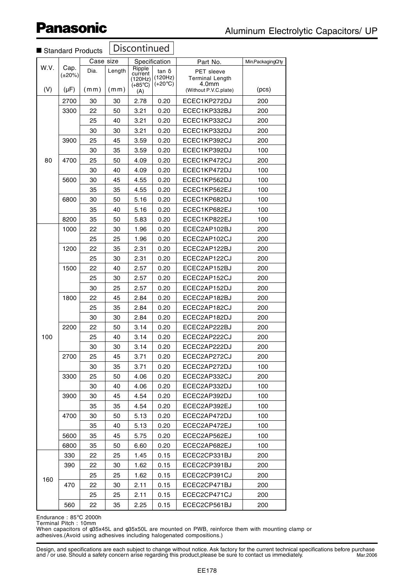|             |                                   | Standard Products |                | Discontinued                                     |                                             |                                               |                   |
|-------------|-----------------------------------|-------------------|----------------|--------------------------------------------------|---------------------------------------------|-----------------------------------------------|-------------------|
|             |                                   | Case size         |                |                                                  | Specification                               | Part No.                                      | Min.PackagingQ'ty |
| W.V.<br>(V) | Cap.<br>$(\pm 20\%)$<br>$(\mu F)$ | Dia.<br>(mm)      | Length<br>(mm) | Ripple<br>current<br>(120Hz)<br>$(+85^{\circ}C)$ | $tan \delta$<br>(120Hz)<br>$(+20^{\circ}C)$ | PET sleeve<br><b>Terminal Length</b><br>4.0mm | (pcs)             |
|             |                                   |                   |                | (A)                                              |                                             | (Without P.V.C.plate)                         |                   |
|             | 2700                              | 30                | 30             | 2.78                                             | 0.20                                        | ECEC1KP272DJ                                  | 200               |
|             | 3300                              | 22                | 50             | 3.21                                             | 0.20                                        | ECEC1KP332BJ                                  | 200               |
|             |                                   | 25                | 40             | 3.21                                             | 0.20                                        | ECEC1KP332CJ                                  | 200               |
|             |                                   | 30                | 30             | 3.21                                             | 0.20                                        | ECEC1KP332DJ                                  | 200               |
|             | 3900                              | 25                | 45             | 3.59                                             | 0.20                                        | ECEC1KP392CJ                                  | 200               |
|             |                                   | 30                | 35             | 3.59                                             | 0.20                                        | ECEC1KP392DJ                                  | 100               |
| 80          | 4700                              | 25                | 50             | 4.09                                             | 0.20                                        | ECEC1KP472CJ                                  | 200               |
|             |                                   | 30                | 40             | 4.09                                             | 0.20                                        | ECEC1KP472DJ                                  | 100               |
|             | 5600                              | 30                | 45             | 4.55                                             | 0.20                                        | ECEC1KP562DJ                                  | 100               |
|             |                                   | 35                | 35             | 4.55                                             | 0.20                                        | ECEC1KP562EJ                                  | 100               |
|             | 6800                              | 30                | 50             | 5.16                                             | 0.20                                        | ECEC1KP682DJ                                  | 100               |
|             |                                   | 35                | 40             | 5.16                                             | 0.20                                        | ECEC1KP682EJ                                  | 100               |
|             | 8200                              | 35                | 50             | 5.83                                             | 0.20                                        | ECEC1KP822EJ                                  | 100               |
|             | 1000                              | 22                | 30             | 1.96                                             | 0.20                                        | ECEC2AP102BJ                                  | 200               |
|             |                                   | 25                | 25             | 1.96                                             | 0.20                                        | ECEC2AP102CJ                                  | 200               |
|             | 1200                              | 22                | 35             | 2.31                                             | 0.20                                        | ECEC2AP122BJ                                  | 200               |
|             |                                   | 25                | 30             | 2.31                                             | 0.20                                        | ECEC2AP122CJ                                  | 200               |
|             | 1500                              | 22                | 40             | 2.57                                             | 0.20                                        | ECEC2AP152BJ                                  | 200               |
|             |                                   | 25                | 30             | 2.57                                             | 0.20                                        | ECEC2AP152CJ                                  | 200               |
|             |                                   | 30                | 25             | 2.57                                             | 0.20                                        | ECEC2AP152DJ                                  | 200               |
|             | 1800                              | 22                | 45             | 2.84                                             | 0.20                                        | ECEC2AP182BJ                                  | 200               |
|             |                                   | 25                | 35             | 2.84                                             | 0.20                                        | ECEC2AP182CJ                                  | 200               |
|             |                                   | 30                | 30             | 2.84                                             | 0.20                                        | ECEC2AP182DJ                                  | 200               |
|             | 2200                              | 22                | 50             | 3.14                                             | 0.20                                        | ECEC2AP222BJ                                  | 200               |
| 100         |                                   | 25                | 40             | 3.14                                             | 0.20                                        | ECEC2AP222CJ                                  | 200               |
|             |                                   | 30                | 30             | 3.14                                             | 0.20                                        | ECEC2AP222DJ                                  | 200               |
|             | 2700                              | 25                | 45             | 3.71                                             | 0.20                                        | ECEC2AP272CJ                                  | 200               |
|             |                                   | 30                | 35             | 3.71                                             | 0.20                                        | ECEC2AP272DJ                                  | 100               |
|             | 3300                              | 25                | 50             | 4.06                                             | 0.20                                        | ECEC2AP332CJ                                  | 200               |
|             |                                   | 30                | 40             | 4.06                                             | 0.20                                        | ECEC2AP332DJ                                  | 100               |
|             | 3900                              | 30                | 45             | 4.54                                             | 0.20                                        | ECEC2AP392DJ                                  | 100               |
|             |                                   | 35                | 35             | 4.54                                             | 0.20                                        | ECEC2AP392EJ                                  | 100               |
|             | 4700                              | 30                | 50             | 5.13                                             | 0.20                                        | ECEC2AP472DJ                                  | 100               |
|             |                                   | 35                | 40             | 5.13                                             | 0.20                                        | ECEC2AP472EJ                                  | 100               |
|             | 5600                              | 35                | 45             | 5.75                                             | 0.20                                        | ECEC2AP562EJ                                  | 100               |
|             | 6800                              | 35                | 50             | 6.60                                             | 0.20                                        | ECEC2AP682EJ                                  | 100               |
|             | 330                               | 22                | 25             | 1.45                                             | 0.15                                        | ECEC2CP331BJ                                  | 200               |
|             | 390                               | 22                | 30             | 1.62                                             | 0.15                                        | ECEC2CP391BJ                                  | 200               |
| 160         |                                   | 25                | 25             | 1.62                                             | 0.15                                        | ECEC2CP391CJ                                  | 200               |
|             | 470                               | 22                | 30             | 2.11                                             | 0.15                                        | ECEC2CP471BJ                                  | 200               |
|             |                                   | 25                | 25             | 2.11                                             | 0.15                                        | ECEC2CP471CJ                                  | 200               |
|             | 560                               | 22                | 35             | 2.25                                             | 0.15                                        | ECEC2CP561BJ                                  | 200               |

#### Discontinued

Endurance : 85°C 2000h

Terminal Pitch : 10mm When capacitors of φ35x45L and φ35x50L are mounted on PWB, reinforce them with mounting clamp or adhesives.(Avoid using adhesives including halogenated compositions.)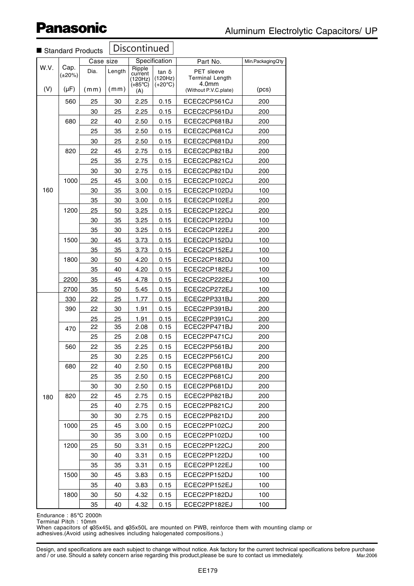| Min.PackagingQ'ty<br>(pcs)<br>200<br>200<br>200<br>200 |
|--------------------------------------------------------|
|                                                        |
|                                                        |
|                                                        |
|                                                        |
|                                                        |
|                                                        |
| 200                                                    |
| 200                                                    |
| 200                                                    |
| 200                                                    |
| 200                                                    |
| 100                                                    |
| 200                                                    |
| 200                                                    |
| 100                                                    |
| 200                                                    |
| 100                                                    |
| 100                                                    |
| 100                                                    |
| 100                                                    |
| 100                                                    |
| 100                                                    |
| <u>200</u>                                             |
| 200                                                    |
| <u>200</u>                                             |
| 200                                                    |
| 200                                                    |
| 200                                                    |
| 200                                                    |
| 200                                                    |
| 200                                                    |
| 200                                                    |
| 200                                                    |
| 200                                                    |
| 200                                                    |
| 200                                                    |
| 100                                                    |
| 200                                                    |
| 100                                                    |
| 100                                                    |
| 100                                                    |
| 100                                                    |
| 100<br>100                                             |
|                                                        |

 $\sqrt{\text{Discontinued}}$ 

Endurance : 85°C 2000h Terminal Pitch : 10mm

When capacitors of φ35x45L and φ35x50L are mounted on PWB, reinforce them with mounting clamp or adhesives.(Avoid using adhesives including halogenated compositions.)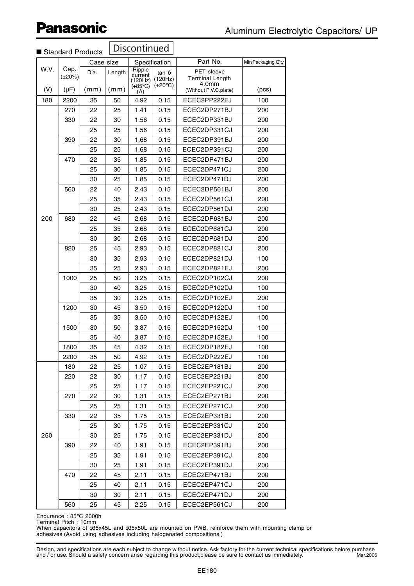|      |                      | Standard Products | Discontinued |                                                     |                                             |                                                      |                    |
|------|----------------------|-------------------|--------------|-----------------------------------------------------|---------------------------------------------|------------------------------------------------------|--------------------|
|      |                      | Case size         |              |                                                     | Specification                               | Part No.                                             | Min.Packaging Q'ty |
| W.V. | Cap.<br>$(\pm 20\%)$ | Dia.              | Length       | Ripple<br>current<br>$(120$ Hz)<br>$(+85^{\circ}C)$ | $tan \delta$<br>(120Hz)<br>$(+20^{\circ}C)$ | <b>PET</b> sleeve<br><b>Terminal Length</b><br>4.0mm |                    |
| (V)  | $(\mu F)$            | (mm)              | (mm)         | (A)                                                 |                                             | (Without P.V.C.plate)                                | (pcs)              |
| 180  | 2200                 | 35                | 50           | 4.92                                                | 0.15                                        | ECEC2PP222EJ                                         | 100                |
|      | 270                  | 22                | 25           | 1.41                                                | 0.15                                        | ECEC2DP271BJ                                         | 200                |
|      | 330                  | 22                | 30           | 1.56                                                | 0.15                                        | ECEC2DP331BJ                                         | 200                |
|      |                      | 25                | 25           | 1.56                                                | 0.15                                        | ECEC2DP331CJ                                         | 200                |
|      | 390                  | 22                | 30           | 1.68                                                | 0.15                                        | ECEC2DP391BJ                                         | 200                |
|      |                      | 25                | 25           | 1.68                                                | 0.15                                        | ECEC2DP391CJ                                         | 200                |
|      | 470                  | 22                | 35           | 1.85                                                | 0.15                                        | ECEC2DP471BJ                                         | 200                |
|      |                      | 25                | 30           | 1.85                                                | 0.15                                        | ECEC2DP471CJ                                         | 200                |
|      |                      | 30                | 25           | 1.85                                                | 0.15                                        | ECEC2DP471DJ                                         | 200                |
|      | 560                  | 22                | 40           | 2.43                                                | 0.15                                        | ECEC2DP561BJ                                         | 200                |
|      |                      | 25                | 35           | 2.43                                                | 0.15                                        | ECEC2DP561CJ                                         | 200                |
|      |                      | 30                | 25           | 2.43                                                | 0.15                                        | ECEC2DP561DJ                                         | 200                |
| 200  | 680                  | 22                | 45           | 2.68                                                | 0.15                                        | ECEC2DP681BJ                                         | 200                |
|      |                      | 25                | 35           | 2.68                                                | 0.15                                        | ECEC2DP681CJ                                         | 200                |
|      |                      | 30                | 30           | 2.68                                                | 0.15                                        | ECEC2DP681DJ                                         | 200                |
|      | 820                  | 25                | 45           | 2.93                                                | 0.15                                        | ECEC2DP821CJ                                         | 200                |
|      |                      | 30                | 35           | 2.93                                                | 0.15                                        | ECEC2DP821DJ                                         | 100                |
|      |                      | 35                | 25           | 2.93                                                | 0.15                                        | ECEC2DP821EJ                                         | 200                |
|      | 1000                 | 25                | 50           | 3.25                                                | 0.15                                        | ECEC2DP102CJ                                         | 200                |
|      |                      | 30                | 40           | 3.25                                                | 0.15                                        | ECEC2DP102DJ                                         | 100                |
|      |                      | 35                | 30           | 3.25                                                | 0.15                                        | ECEC2DP102EJ                                         | 200                |
|      | 1200                 | 30                | 45           | 3.50                                                | 0.15                                        | ECEC2DP122DJ                                         | 100                |
|      |                      | 35                | 35           | 3.50                                                | 0.15                                        | ECEC2DP122EJ                                         | 100                |
|      | 1500                 | 30                | 50           | 3.87                                                | 0.15                                        | ECEC2DP152DJ                                         | 100                |
|      |                      | 35                | 40           | 3.87                                                | 0.15                                        | ECEC2DP152EJ                                         | 100                |
|      | 1800                 | 35                | 45           | 4.32                                                | 0.15                                        | ECEC2DP182EJ                                         | 100                |
|      | 2200                 | 35                | 50           | 4.92                                                | 0.15                                        | ECEC2DP222EJ                                         | 100                |
|      | 180                  | 22                | 25           | 1.07                                                | 0.15                                        | ECEC2EP181BJ                                         | 200                |
|      | 220                  | 22                | 30           | 1.17                                                | 0.15                                        | ECEC2EP221BJ                                         | 200                |
|      |                      | 25                | 25           | 1.17                                                | 0.15                                        | ECEC2EP221CJ                                         | 200                |
|      | 270                  | 22                | 30           | 1.31                                                | 0.15                                        | ECEC2EP271BJ                                         | 200                |
|      |                      | 25                | 25           | 1.31                                                | 0.15                                        | ECEC2EP271CJ                                         | 200                |
|      | 330                  | 22                | 35           | 1.75                                                | 0.15                                        | ECEC2EP331BJ                                         | 200                |
|      |                      | 25                | 30           | 1.75                                                | 0.15                                        | ECEC2EP331CJ                                         | 200                |
| 250  |                      | 30                | 25           | 1.75                                                | 0.15                                        | ECEC2EP331DJ                                         | 200                |
|      | 390                  | 22                | 40           | 1.91                                                | 0.15                                        | ECEC2EP391BJ                                         | 200                |
|      |                      | 25                | 35           | 1.91                                                | 0.15                                        | ECEC2EP391CJ                                         | 200                |
|      |                      | 30                | 25           | 1.91                                                | 0.15                                        | ECEC2EP391DJ                                         | 200                |
|      | 470                  | 22                | 45           | 2.11                                                | 0.15                                        | ECEC2EP471BJ                                         | 200                |
|      |                      | 25                | 40           | 2.11                                                | 0.15                                        | ECEC2EP471CJ                                         | 200                |
|      |                      | 30                | 30           | 2.11                                                | 0.15                                        | ECEC2EP471DJ                                         | 200                |
|      | 560                  | 25                | 45           | 2.25                                                | 0.15                                        | ECEC2EP561CJ                                         | 200                |

Endurance : 85°C 2000h Terminal Pitch : 10mm

When capacitors of φ35x45L and φ35x50L are mounted on PWB, reinforce them with mounting clamp or adhesives.(Avoid using adhesives including halogenated compositions.)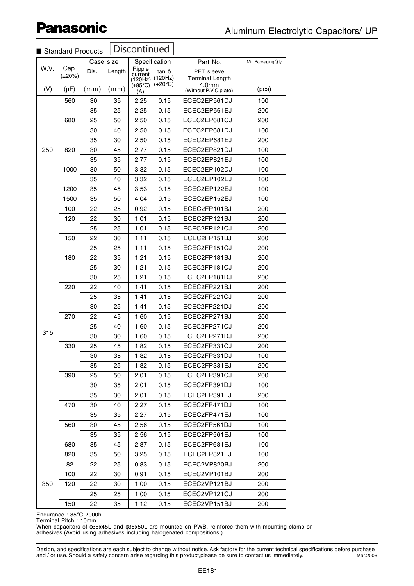| Discontinued<br>Standard Products |                      |           |          |                                                  |                                             |                                                      |                   |
|-----------------------------------|----------------------|-----------|----------|--------------------------------------------------|---------------------------------------------|------------------------------------------------------|-------------------|
|                                   |                      | Case size |          |                                                  | Specification                               | Part No.                                             | Min.PackagingQ'ty |
| W.V.                              | Cap.<br>$(\pm 20\%)$ | Dia.      | Length   | Ripple<br>current<br>(120Hz)<br>$(+85^{\circ}C)$ | $tan \delta$<br>(120Hz)<br>$(+20^{\circ}C)$ | <b>PET</b> sleeve<br><b>Terminal Length</b><br>4.0mm |                   |
| (V)                               | $(\mu F)$            | (mm)      | (mm)     | (A)                                              |                                             | (Without P.V.C.plate)                                | (pcs)             |
|                                   | 560                  | 30        | 35       | 2.25                                             | 0.15                                        | ECEC2EP561DJ                                         | 100               |
|                                   |                      | 35        | 25       | 2.25                                             | 0.15                                        | ECEC2EP561EJ                                         | 200               |
|                                   | 680                  | 25        | 50       | 2.50<br>2.50                                     | 0.15                                        | ECEC2EP681CJ                                         | 200               |
|                                   |                      | 30<br>35  | 40<br>30 | 2.50                                             | 0.15<br>0.15                                | ECEC2EP681DJ<br>ECEC2EP681EJ                         | 100<br>200        |
| 250                               | 820                  | 30        | 45       | 2.77                                             | 0.15                                        | ECEC2EP821DJ                                         | 100               |
|                                   |                      | 35        | 35       | 2.77                                             | 0.15                                        | ECEC2EP821EJ                                         | 100               |
|                                   | 1000                 | 30        | 50       | 3.32                                             | 0.15                                        | ECEC2EP102DJ                                         | 100               |
|                                   |                      | 35        | 40       | 3.32                                             | 0.15                                        | ECEC2EP102EJ                                         | 100               |
|                                   | 1200                 | 35        | 45       | 3.53                                             | 0.15                                        | ECEC2EP122EJ                                         | 100               |
|                                   | 1500                 | 35        | 50       | 4.04                                             | 0.15                                        | ECEC2EP152EJ                                         | 100               |
|                                   | 100                  | 22        | 25       | 0.92                                             | 0.15                                        | ECEC2FP101BJ                                         | 200               |
|                                   | 120                  | 22        | 30       | 1.01                                             | 0.15                                        | ECEC2FP121BJ                                         | 200               |
|                                   |                      | 25        | 25       | 1.01                                             | 0.15                                        | ECEC2FP121CJ                                         | 200               |
|                                   | 150                  | 22        | 30       | 1.11                                             | 0.15                                        | ECEC2FP151BJ                                         | 200               |
|                                   |                      | 25        | 25       | 1.11                                             | 0.15                                        | ECEC2FP151CJ                                         | 200               |
|                                   | 180                  | 22        | 35       | 1.21                                             | 0.15                                        | ECEC2FP181BJ                                         | 200               |
|                                   |                      | 25        | 30       | 1.21                                             | 0.15                                        | ECEC2FP181CJ                                         | 200               |
|                                   |                      | 30        | 25       | 1.21                                             | 0.15                                        | ECEC2FP181DJ                                         | 200               |
|                                   | 220                  | 22        | 40       | 1.41                                             | 0.15                                        | ECEC2FP221BJ                                         | 200               |
|                                   |                      | 25        | 35       | 1.41                                             | 0.15                                        | ECEC2FP221CJ                                         | 200               |
|                                   |                      | 30        | 25       | 1.41                                             | 0.15                                        | ECEC2FP221DJ                                         | 200               |
|                                   | 270                  | 22        | 45       | 1.60                                             | 0.15                                        | ECEC2FP271BJ                                         | 200               |
|                                   |                      | 25        | 40       | 1.60                                             | 0.15                                        | ECEC2FP271CJ                                         | 200               |
| 315                               |                      | 30        | 30       | 1.60                                             | 0.15                                        | ECEC2FP271DJ                                         | 200               |
|                                   | 330                  | 25        | 45       | 1.82                                             | 0.15                                        | ECEC2FP331CJ                                         | 200               |
|                                   |                      | 30        | 35       | 1.82                                             | 0.15                                        | ECEC2FP331DJ                                         | 100               |
|                                   |                      | 35        | 25       | 1.82                                             | 0.15                                        | ECEC2FP331EJ                                         | 200               |
|                                   | 390                  | 25        | 50       | 2.01                                             | 0.15                                        | ECEC2FP391CJ                                         | 200               |
|                                   |                      | 30        | 35       | 2.01                                             | 0.15                                        | ECEC2FP391DJ                                         | 100               |
|                                   |                      | 35        | 30       | 2.01                                             | 0.15                                        | ECEC2FP391EJ                                         | 200               |
|                                   | 470                  | 30        | 40       | 2.27                                             | 0.15                                        | ECEC2FP471DJ                                         | 100               |
|                                   |                      | 35        | 35       | 2.27                                             | 0.15                                        | ECEC2FP471EJ                                         | 100               |
|                                   | 560                  | 30        | 45       | 2.56                                             | 0.15                                        | ECEC2FP561DJ                                         | 100               |
|                                   |                      | 35        | 35       | 2.56                                             | 0.15                                        | ECEC2FP561EJ                                         | 100               |
|                                   | 680                  | 35        | 45       | 2.87                                             | 0.15                                        | ECEC2FP681EJ                                         | 100               |
|                                   | 820                  | 35        | 50       | 3.25                                             | 0.15                                        | ECEC2FP821EJ                                         | 100               |
|                                   | 82                   | 22        | 25       | 0.83                                             | 0.15                                        | ECEC2VP820BJ                                         | 200               |
|                                   | 100                  | 22        | 30       | 0.91                                             | 0.15                                        | ECEC2VP101BJ                                         | 200               |
| 350                               | 120                  | 22        | 30       | 1.00                                             | 0.15                                        | ECEC2VP121BJ                                         | 200               |
|                                   |                      | 25        | 25       | 1.00                                             | 0.15                                        | ECEC2VP121CJ                                         | 200               |
|                                   | 150                  | 22        | 35       | 1.12                                             | 0.15                                        | ECEC2VP151BJ                                         | 200               |

Endurance : 85°C 2000h Terminal Pitch : 10mm

When capacitors of φ35x45L and φ35x50L are mounted on PWB, reinforce them with mounting clamp or adhesives.(Avoid using adhesives including halogenated compositions.)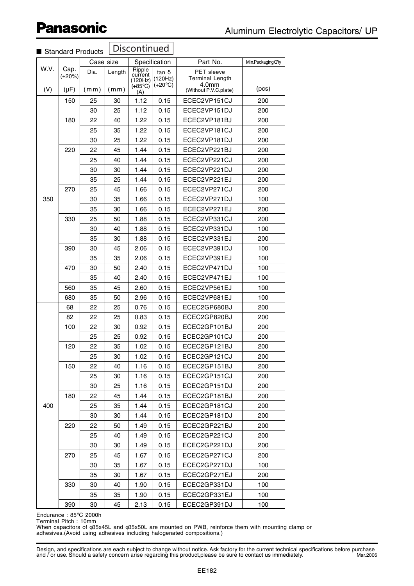|      |                      | <b>Ulahuaru Froughlo</b> |        |                              |                                             |                                                                  |                 |
|------|----------------------|--------------------------|--------|------------------------------|---------------------------------------------|------------------------------------------------------------------|-----------------|
|      |                      | Case size                |        |                              | Specification                               | Part No.                                                         | Min.PackingQ'ty |
| W.V. | Cap.<br>$(\pm 20\%)$ | Dia.                     | Length | Ripple<br>current<br>(120Hz) | $tan \delta$<br>(120Hz)<br>$(+20^{\circ}C)$ | <b>PET</b> sleeve<br><b>Terminal Length</b><br>4.0 <sub>mm</sub> |                 |
| (V)  | $(\mu F)$            | (mm)                     | (mm)   | $(+85^{\circ}C)$<br>(A)      |                                             | (Without P.V.C.plate)                                            | (pcs)           |
|      | 150                  | 25                       | 30     | 1.12                         | 0.15                                        | ECEC2VP151CJ                                                     | 200             |
|      |                      | 30                       | 25     | 1.12                         | 0.15                                        | ECEC2VP151DJ                                                     | 200             |
|      | 180                  | 22                       | 40     | 1.22                         | 0.15                                        | ECEC2VP181BJ                                                     | 200             |
|      |                      | 25                       | 35     | 1.22                         | 0.15                                        | ECEC2VP181CJ                                                     | 200             |
|      |                      | 30                       | 25     | 1.22                         | 0.15                                        | ECEC2VP181DJ                                                     | 200             |
|      | 220                  | 22                       | 45     | 1.44                         | 0.15                                        | ECEC2VP221BJ                                                     | 200             |
|      |                      | 25                       | 40     | 1.44                         | 0.15                                        | ECEC2VP221CJ                                                     | 200             |
|      |                      | 30                       | 30     | 1.44                         | 0.15                                        | ECEC2VP221DJ                                                     | 200             |
|      |                      | 35                       | 25     | 1.44                         | 0.15                                        | ECEC2VP221EJ                                                     | 200             |
|      | 270                  | 25                       | 45     | 1.66                         | 0.15                                        | ECEC2VP271CJ                                                     | 200             |
| 350  |                      | 30                       | 35     | 1.66                         | 0.15                                        | ECEC2VP271DJ                                                     | 100             |
|      |                      | 35                       | 30     | 1.66                         | 0.15                                        | ECEC2VP271EJ                                                     | 200             |
|      | 330                  | 25                       | 50     | 1.88                         | 0.15                                        | ECEC2VP331CJ                                                     | 200             |
|      |                      | 30                       | 40     | 1.88                         | 0.15                                        | ECEC2VP331DJ                                                     | 100             |
|      |                      | 35                       | 30     | 1.88                         | 0.15                                        | ECEC2VP331EJ                                                     | 200             |
|      | 390                  | 30                       | 45     | 2.06                         | 0.15                                        | ECEC2VP391DJ                                                     | 100             |
|      |                      | 35                       | 35     | 2.06                         | 0.15                                        | ECEC2VP391EJ                                                     | 100             |
|      | 470                  | 30                       | 50     | 2.40                         | 0.15                                        | ECEC2VP471DJ                                                     | 100             |
|      |                      | 35                       | 40     | 2.40                         | 0.15                                        | ECEC2VP471EJ                                                     | 100             |
|      | 560                  | 35                       | 45     | 2.60                         | 0.15                                        | ECEC2VP561EJ                                                     | 100             |
|      | 680                  | 35                       | 50     | 2.96                         | 0.15                                        | ECEC2VP681EJ                                                     | 100             |
|      | 68                   | 22                       | 25     | 0.76                         | 0.15                                        | ECEC2GP680BJ                                                     | 200             |
|      | 82                   | 22                       | 25     | 0.83                         | 0.15                                        | ECEC2GP820BJ                                                     | 200             |
|      | 100                  | 22                       | 30     | 0.92                         | 0.15                                        | ECEC2GP101BJ                                                     | 200             |
|      |                      | 25                       | 25     | 0.92                         | 0.15                                        | ECEC2GP101CJ                                                     | 200             |
|      | 120                  | 22                       | 35     | 1.02                         | 0.15                                        | ECEC2GP121BJ                                                     | 200             |
|      |                      | 25                       | 30     | 1.02                         | 0.15                                        | ECEC2GP121CJ                                                     | 200             |
|      | 150                  | 22                       | 40     | 1.16                         | 0.15                                        | ECEC2GP151BJ                                                     | 200             |
|      |                      | 25                       | 30     | 1.16                         | 0.15                                        | ECEC2GP151CJ                                                     | 200             |
|      |                      | 30                       | 25     | 1.16                         | 0.15                                        | ECEC2GP151DJ                                                     | 200             |
|      | 180                  | 22                       | 45     | 1.44                         | 0.15                                        | ECEC2GP181BJ                                                     | 200             |
| 400  |                      | 25                       | 35     | 1.44                         | 0.15                                        | ECEC2GP181CJ                                                     | 200             |
|      |                      | 30                       | 30     | 1.44                         | 0.15                                        | ECEC2GP181DJ                                                     | 200             |
|      | 220                  | 22                       | 50     | 1.49                         | 0.15                                        | ECEC2GP221BJ                                                     | 200             |
|      |                      | 25                       | 40     | 1.49                         | 0.15                                        | ECEC2GP221CJ                                                     | 200             |
|      |                      | 30                       | 30     | 1.49                         | 0.15                                        | ECEC2GP221DJ                                                     | 200             |
|      | 270                  | 25                       | 45     | 1.67                         | 0.15                                        | ECEC2GP271CJ                                                     | 200             |
|      |                      | 30                       | 35     | 1.67                         | 0.15                                        | ECEC2GP271DJ                                                     | 100             |
|      |                      | 35                       | 30     | 1.67                         | 0.15                                        | ECEC2GP271EJ                                                     | 200             |
|      | 330                  | 30                       | 40     | 1.90                         | 0.15                                        | ECEC2GP331DJ                                                     | 100             |
|      |                      | 35                       | 35     | 1.90                         | 0.15                                        | ECEC2GP331EJ                                                     | 100             |
|      | 390                  | 30                       | 45     | 2.13                         | 0.15                                        | ECEC2GP391DJ                                                     | 100             |

**Discontinued** ■ Standard Products

Endurance : 85°C 2000h Terminal Pitch : 10mm

When capacitors of φ35x45L and φ35x50L are mounted on PWB, reinforce them with mounting clamp or adhesives.(Avoid using adhesives including halogenated compositions.)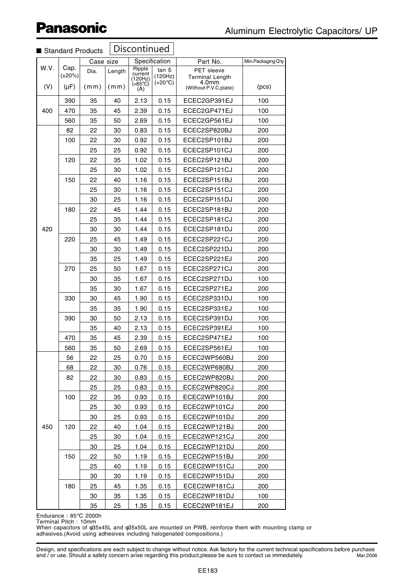|             |                              | Standard Products |                | Discontinued                                   |                                             |                                                                               |                       |
|-------------|------------------------------|-------------------|----------------|------------------------------------------------|---------------------------------------------|-------------------------------------------------------------------------------|-----------------------|
|             |                              | Case size         |                |                                                | Specification                               | Part No.                                                                      | $Min.Packaging Q'$ ty |
| W.V.<br>(V) | Cap.<br>$(\pm 20\%)$<br>(µF) | Dia.<br>(mm)      | Length<br>(mm) | Ripple<br>current<br>(120Hz)<br>(+85°C)<br>(A) | tan $\delta$<br>(120Hz)<br>$(+20^{\circ}C)$ | <b>PET</b> sleeve<br><b>Terminal Length</b><br>4.0mm<br>(Without P.V.C.plate) | (pcs)                 |
|             | 390                          | 35                | 40             | 2.13                                           | 0.15                                        | ECEC2GP391EJ                                                                  | 100                   |
| 400         | 470                          | 35                | 45             | 2.39                                           | 0.15                                        | ECEC2GP471EJ                                                                  | 100                   |
|             | 560                          | 35                | 50             | 2.69                                           | 0.15                                        | ECEC2GP561EJ                                                                  | 100                   |
|             | 82                           | 22                | 30             | 0.83                                           | 0.15                                        | ECEC2SP820BJ                                                                  | 200                   |
|             | 100                          | 22                | 30             | 0.92                                           | 0.15                                        | ECEC2SP101BJ                                                                  | 200                   |
|             |                              | 25                | 25             | 0.92                                           | 0.15                                        | ECEC2SP101CJ                                                                  | 200                   |
|             | 120                          | 22                | 35             | 1.02                                           | 0.15                                        | ECEC2SP121BJ                                                                  | 200                   |
|             |                              | 25                | 30             | 1.02                                           | 0.15                                        | ECEC2SP121CJ                                                                  | 200                   |
|             | 150                          | 22                | 40             | 1.16                                           | 0.15                                        | ECEC2SP151BJ                                                                  | 200                   |
|             |                              | 25                | 30             | 1.16                                           | 0.15                                        | ECEC2SP151CJ                                                                  | 200                   |
|             |                              | 30                | 25             | 1.16                                           | 0.15                                        | ECEC2SP151DJ                                                                  | 200                   |
|             | 180                          | 22                | 45             | 1.44                                           | 0.15                                        | ECEC2SP181BJ                                                                  | 200                   |
|             |                              | 25                | 35             | 1.44                                           | 0.15                                        | ECEC2SP181CJ                                                                  | 200                   |
| 420         |                              | 30                | 30             | 1.44                                           | 0.15                                        | ECEC2SP181DJ                                                                  | 200                   |
|             | 220                          | 25                | 45             | 1.49                                           | 0.15                                        | ECEC2SP221CJ                                                                  | 200                   |
|             |                              | 30                | 30             | 1.49                                           | 0.15                                        | ECEC2SP221DJ                                                                  | 200                   |
|             |                              | 35                | 25             | 1.49                                           | 0.15                                        | ECEC2SP221EJ                                                                  | 200                   |
|             | 270                          | 25                | 50             | 1.67                                           | 0.15                                        | ECEC2SP271CJ                                                                  | 200                   |
|             |                              | 30                | 35             | 1.67                                           | 0.15                                        | ECEC2SP271DJ                                                                  | 100                   |
|             |                              | 35                | 30             | 1.67                                           | 0.15                                        | ECEC2SP271EJ                                                                  | 200                   |
|             | 330                          | 30                | 45             | 1.90                                           | 0.15                                        | ECEC2SP331DJ                                                                  | 100                   |
|             |                              | 35                | 35             | 1.90                                           | 0.15                                        | ECEC2SP331EJ                                                                  | 100                   |
|             | 390                          | 30                | 50             | 2.13                                           | 0.15                                        | ECEC2SP391DJ                                                                  | 100                   |
|             |                              | 35                | 40             | 2.13                                           | 0.15                                        | ECEC2SP391EJ                                                                  | 100                   |
|             | 470                          | 35                | 45             | 2.39                                           | 0.15                                        | ECEC2SP471EJ                                                                  | 100                   |
|             | 560                          | 35                | 50             | 2.69                                           | 0.15                                        | ECEC2SP561EJ                                                                  | 100                   |
|             | 56                           | 22                | 25             | 0.70                                           | 0.15                                        | ECEC2WP560BJ                                                                  | 200                   |
|             | 68                           | 22                | 30             | 0.76                                           | 0.15                                        | ECEC2WP680BJ                                                                  | 200                   |
|             | 82                           | 22                | 30             | 0.83                                           | 0.15                                        | ECEC2WP820BJ                                                                  | 200                   |
|             |                              | 25                | 25             | 0.83                                           | 0.15                                        | ECEC2WP820CJ                                                                  | 200                   |
|             | 100                          | 22                | 35             | 0.93                                           | 0.15                                        | ECEC2WP101BJ                                                                  | 200                   |
|             |                              | 25                | 30             | 0.93                                           | 0.15                                        | ECEC2WP101CJ                                                                  | 200                   |
|             |                              | 30                | 25             | 0.93                                           | 0.15                                        | ECEC2WP101DJ                                                                  | 200                   |
| 450         | 120                          | 22                | 40             | 1.04                                           | 0.15                                        | ECEC2WP121BJ                                                                  | 200                   |
|             |                              | 25                | 30             | 1.04                                           | 0.15                                        | ECEC2WP121CJ                                                                  | 200                   |
|             |                              | 30                | 25             | 1.04                                           | 0.15                                        | ECEC2WP121DJ                                                                  | 200                   |
|             | 150                          | 22                | 50             | 1.19                                           | 0.15                                        | ECEC2WP151BJ                                                                  | 200                   |
|             |                              | 25                | 40             | 1.19                                           | 0.15                                        | ECEC2WP151CJ                                                                  | 200                   |
|             |                              | 30                | 30             | 1.19                                           | 0.15                                        | ECEC2WP151DJ                                                                  | 200                   |
|             | 180                          | 25                | 45             | 1.35                                           | 0.15                                        | ECEC2WP181CJ                                                                  | 200                   |
|             |                              | 30                | 35             | 1.35                                           | 0.15                                        | ECEC2WP181DJ                                                                  | 100                   |
|             | 35                           | <u>25</u>         | 1.35           | 0.15                                           | ECEC2WP181EJ                                | 200                                                                           |                       |

Endurance : 85°C 2000h Terminal Pitch : 10mm

When capacitors of φ35x45L and φ35x50L are mounted on PWB, reinforce them with mounting clamp or adhesives.(Avoid using adhesives including halogenated compositions.)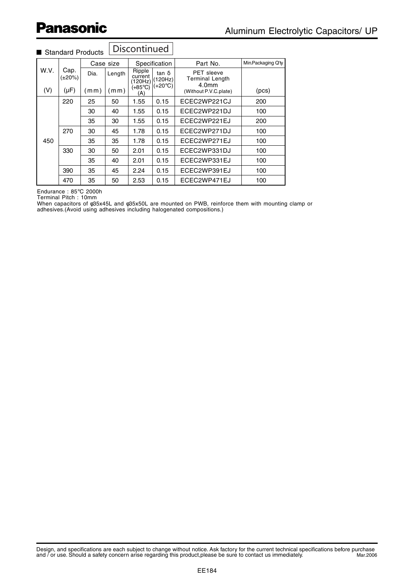|      |                | Case size |        |                              | Specification           | Part No.                                                         | Min.Packaging Q'ty |
|------|----------------|-----------|--------|------------------------------|-------------------------|------------------------------------------------------------------|--------------------|
| W.V. | Cap.<br>(±20%) | Dia.      | Length | Ripple<br>current<br>(120Hz) | $tan \delta$<br>(120Hz) | <b>PET</b> sleeve<br><b>Terminal Length</b><br>4.0 <sub>mm</sub> |                    |
| (V)  | $(\mu F)$      | (mm)      | mm)    | (+85°C)<br>(A)               | $(+20^{\circ}C)$        | (Without P.V.C.plate)                                            | (pcs)              |
|      | 220            | 25        | 50     | 1.55                         | 0.15                    | ECEC2WP221CJ                                                     | 200                |
|      |                | 30        | 40     | 1.55                         | 0.15                    | ECEC2WP221DJ                                                     | 100                |
|      |                | 35        | 30     | 1.55                         | 0.15                    | ECEC2WP221EJ                                                     | 200                |
|      | 270            | 30        | 45     | 1.78                         | 0.15                    | ECEC2WP271DJ                                                     | 100                |
| 450  |                | 35        | 35     | 1.78                         | 0.15                    | ECEC2WP271EJ                                                     | 100                |
|      | 330            | 30        | 50     | 2.01                         | 0.15                    | ECEC2WP331DJ                                                     | 100                |
|      |                | 35        | 40     | 2.01                         | 0.15                    | ECEC2WP331EJ                                                     | 100                |
|      | 390            | 35        | 45     | 2.24                         | 0.15                    | ECEC2WP391EJ                                                     | 100                |
|      | 470            | 35        | 50     | 2.53                         | 0.15                    | ECEC2WP471EJ                                                     | 100                |

#### Discontinued ■ Standard Products

Endurance : 85°C 2000h

Terminal Pitch : 10mm

When capacitors of φ35x45L and φ35x50L are mounted on PWB, reinforce them with mounting clamp or adhesives.(Avoid using adhesives including halogenated compositions.)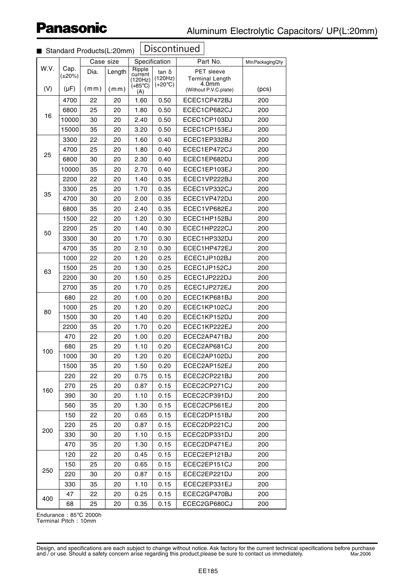|      |                      |           | __,    |                             |                             |                                 |                   |
|------|----------------------|-----------|--------|-----------------------------|-----------------------------|---------------------------------|-------------------|
| W.V. |                      | Case size |        |                             | Specification               | Part No.                        | Min.PackagingQ'ty |
|      | Cap.<br>$(\pm 20\%)$ | Dia.      | Length | Ripple<br>current           | $tan \delta$                | <b>PET</b> sleeve               |                   |
|      |                      |           |        | (120Hz)<br>$(+85^{\circ}C)$ | (120Hz)<br>$(+20^{\circ}C)$ | <b>Terminal Length</b><br>4.0mm |                   |
| (V)  | $(\mu F)$            | (mm)      | (mm)   | (A)                         |                             | (Without P.V.C.plate)           | (pcs)             |
|      | 4700                 | 22        | 20     | 1.60                        | 0.50                        | ECEC1CP472BJ                    | 200               |
| 16   | 6800                 | 25        | 20     | 1.80                        | 0.50                        | ECEC1CP682CJ                    | 200               |
|      | 10000                | 30        | 20     | 2.40                        | 0.50                        | ECEC1CP103DJ                    | 200               |
|      | 15000                | 35        | 20     | 3.20                        | 0.50                        | ECEC1CP153EJ                    | 200               |
|      | 3300                 | 22        | 20     | 1.60                        | 0.40                        | ECEC1EP332BJ                    | 200               |
|      | 4700                 | 25        | 20     | 1.80                        | 0.40                        | ECEC1EP472CJ                    | 200               |
| 25   | 6800                 | 30        | 20     | 2.30                        | 0.40                        | ECEC1EP682DJ                    | 200               |
|      | 10000                | 35        | 20     | 2.70                        | 0.40                        | ECEC1EP103EJ                    | 200               |
|      | 2200                 | 22        | 20     | 1.40                        | 0.35                        | ECEC1VP222BJ                    | 200               |
|      | 3300                 | 25        | 20     | 1.70                        | 0.35                        | ECEC1VP332CJ                    | 200               |
| 35   | 4700                 | 30        | 20     | 2.00                        | 0.35                        | ECEC1VP472DJ                    | 200               |
|      | 6800                 | 35        | 20     | 2.40                        | 0.35                        | ECEC1VP682EJ                    | 200               |
|      | 1500                 | 22        | 20     | 1.20                        | 0.30                        | ECEC1HP152BJ                    | 200               |
|      | 2200                 | 25        | 20     | 1.40                        | 0.30                        | ECEC1HP222CJ                    | 200               |
| 50   | 3300                 | 30        | 20     | 1.70                        | 0.30                        | ECEC1HP332DJ                    | 200               |
|      | 4700                 | 35        | 20     | 2.10                        | 0.30                        | ECEC1HP472EJ                    | 200               |
|      | 1000                 | 22        | 20     | 1.20                        | 0.25                        | ECEC1JP102BJ                    | 200               |
|      | 1500                 | 25        | 20     | 1.30                        | 0.25                        | ECEC1JP152CJ                    | 200               |
| 63   | 2200                 | 30        | 20     | 1.50                        | 0.25                        | ECEC1JP222DJ                    | 200               |
|      | 2700                 | 35        | 20     | 1.70                        | 0.25                        | ECEC1JP272EJ                    | 200               |
|      | 680                  | 22        | 20     | 1.00                        | 0.20                        | ECEC1KP681BJ                    | 200               |
|      | 1000                 | 25        | 20     | 1.20                        | 0.20                        | ECEC1KP102CJ                    | 200               |
| 80   | 1500                 | 30        | 20     | 1.40                        | 0.20                        | ECEC1KP152DJ                    | 200               |
|      | 2200                 | 35        | 20     | 1.70                        | 0.20                        | ECEC1KP222EJ                    | 200               |
|      | 470                  | 22        | 20     | 1.00                        | 0.20                        | ECEC2AP471BJ                    | 200               |
|      | 680                  | 25        | 20     | 1.10                        | 0.20                        | ECEC2AP681CJ                    | 200               |
| 100  | 1000                 | 30        | 20     | 1.20                        | 0.20                        | ECEC2AP102DJ                    | 200               |
|      | 1500                 | 35        | 20     | 1.50                        | 0.20                        | ECEC2AP152EJ                    | 200               |
|      | 220                  | 22        | 20     | 0.75                        | 0.15                        | ECEC2CP221BJ                    | 200               |
|      | 270                  | 25        | 20     | 0.87                        | 0.15                        | ECEC2CP271CJ                    | 200               |
| 160  | 390                  | 30        | 20     | 1.10                        | 0.15                        | ECEC2CP391DJ                    | 200               |
|      | 560                  | 35        | 20     | 1.30                        | 0.15                        | ECEC2CP561EJ                    | 200               |
|      | 150                  | 22        | 20     | 0.65                        | 0.15                        | ECEC2DP151BJ                    | 200               |
|      | 220                  | 25        | 20     | 0.87                        | 0.15                        | ECEC2DP221CJ                    | 200               |
| 200  | 330                  | 30        | 20     | 1.10                        | 0.15                        | ECEC2DP331DJ                    | 200               |
|      | 470                  | 35        | 20     | 1.30                        | 0.15                        | ECEC2DP471EJ                    | 200               |
|      | 120                  | 22        | 20     | 0.45                        | 0.15                        | ECEC2EP121BJ                    | 200               |
|      | 150                  | 25        | 20     | 0.65                        | 0.15                        | ECEC2EP151CJ                    | 200               |
| 250  | 220                  | 30        | 20     | 0.87                        | 0.15                        | ECEC2EP221DJ                    | 200               |
|      | 330                  | 35        | 20     | 1.10                        | 0.15                        | ECEC2EP331EJ                    | 200               |
|      | 47                   | 22        | 20     | 0.25                        | 0.15                        | ECEC2GP470BJ                    | 200               |
| 400  | 68                   | 25        | 20     | 0.35                        | 0.15                        | ECEC2GP680CJ                    | 200               |

#### ■ Standard Products(L:20mm)

Endurance : 85°C 2000h Terminal Pitch : 10mm